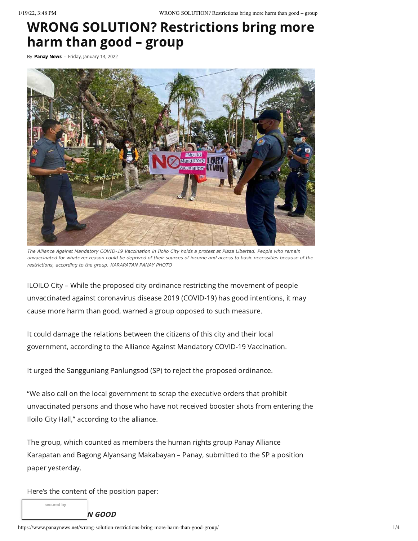# WRONG SOLUTION? Restrictions bring more harm than good – group

By [Panay](https://www.panaynews.net/author/admin/) News - Friday, January 14, 2022



*The Alliance Against Mandatory COVID-19 Vaccination in Iloilo City holds a protest at Plaza Libertad. People who remain unvaccinated for whatever reason could be deprived of their sources of income and access to basic necessities because of the restrictions, according to the group. KARAPATAN PANAY PHOTO*

ILOILO City – While the proposed city ordinance restricting the movement of people unvaccinated against coronavirus disease 2019 (COVID-19) has good intentions, it may cause more harm than good, warned a group opposed to such measure.

It could damage the relations between the citizens of this city and their local government, according to the Alliance Against Mandatory COVID-19 Vaccination.

It urged the Sangguniang Panlungsod (SP) to reject the proposed ordinance.

"We also call on the local government to scrap the executive orders that prohibit unvaccinated persons and those who have not received booster shots from entering the Iloilo City Hall," according to the alliance.

The group, which counted as members the human rights group Panay Alliance Karapatan and Bagong Alyansang Makabayan – Panay, submitted to the SP a position paper yesterday.

Here's the content of the position paper:

**secured by**

 $N$  GOOD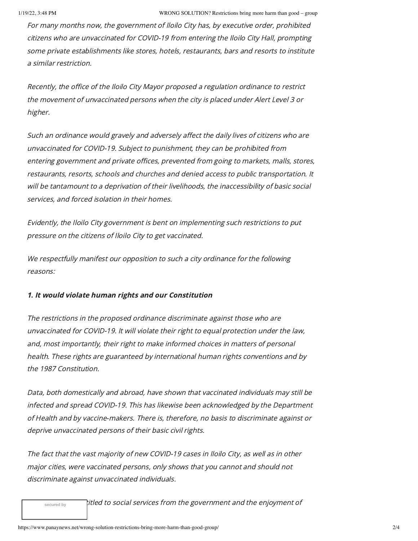For many months now, the government of Iloilo City has, by executive order, prohibited citizens who are unvaccinated for COVID-19 from entering the Iloilo City Hall, prompting some private establishments like stores, hotels, restaurants, bars and resorts to institute a similar restriction.

Recently, the office of the Iloilo City Mayor proposed <sup>a</sup> regulation ordinance to restrict the movement of unvaccinated persons when the city is placed under Alert Level 3 or higher.

Such an ordinance would gravely and adversely affect the daily lives of citizens who are unvaccinated for COVID-19. Subject to punishment, they can be prohibited from entering government and private offices, prevented from going to markets, malls, stores, restaurants, resorts, schools and churches and denied access to public transportation. It will be tantamount to <sup>a</sup> deprivation of their livelihoods, the inaccessibility of basic social services, and forced isolation in their homes.

Evidently, the Iloilo City government is bent on implementing such restrictions to put pressure on the citizens of Iloilo City to get vaccinated.

We respectfully manifest our opposition to such <sup>a</sup> city ordinance for the following reasons:

## 1. It would violate human rights and our Constitution

The restrictions in the proposed ordinance discriminate against those who are unvaccinated for COVID-19. It will violate their right to equal protection under the law, and, most importantly, their right to make informed choices in matters of personal health. These rights are guaranteed by international human rights conventions and by the 1987 Constitution.

Data, both domestically and abroad, have shown that vaccinated individuals may still be infected and spread COVID-19. This has likewise been acknowledged by the Department of Health and by vaccine-makers. There is, therefore, no basis to discriminate against or deprive unvaccinated persons of their basic civil rights.

The fact that the vast majority of new COVID-19 cases in Iloilo City, as well as in other major cities, were vaccinated persons, only shows that you cannot and should not discriminate against unvaccinated individuals.

titled to social services from the government and the enjoyment of

their basic rights. **secured by**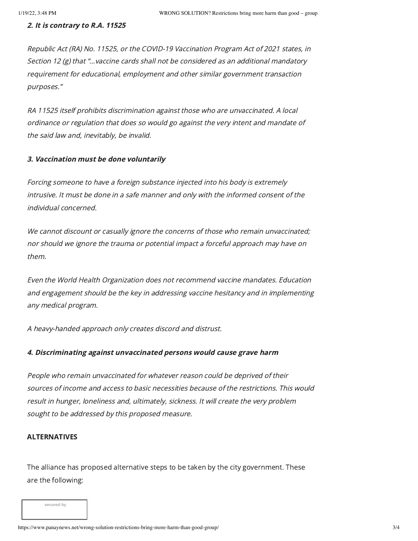#### 2. It is contrary to R.A. 11525

Republic Act (RA) No. 11525, or the COVID-19 Vaccination Program Act of 2021 states, in Section 12 (g) that "…vaccine cards shall not be considered as an additional mandatory requirement for educational, employment and other similar government transaction purposes."

RA 11525 itself prohibits discrimination against those who are unvaccinated. A local ordinance or regulation that does so would go against the very intent and mandate of the said law and, inevitably, be invalid.

#### 3. Vaccination must be done voluntarily

Forcing someone to have <sup>a</sup> foreign substance injected into his body is extremely intrusive. It must be done in <sup>a</sup> safe manner and only with the informed consent of the individual concerned.

We cannot discount or casually ignore the concerns of those who remain unvaccinated; nor should we ignore the trauma or potential impact <sup>a</sup> forceful approach may have on them.

Even the World Health Organization does not recommend vaccine mandates. Education and engagement should be the key in addressing vaccine hesitancy and in implementing any medical program.

A heavy-handed approach only creates discord and distrust.

#### 4. Discriminating against unvaccinated persons would cause grave harm

People who remain unvaccinated for whatever reason could be deprived of their sources of income and access to basic necessities because of the restrictions. This would result in hunger, loneliness and, ultimately, sickness. It will create the very problem sought to be addressed by this proposed measure.

## ALTERNATIVES

The alliance has proposed alternative steps to be taken by the city government. These are the following:

**secured by**